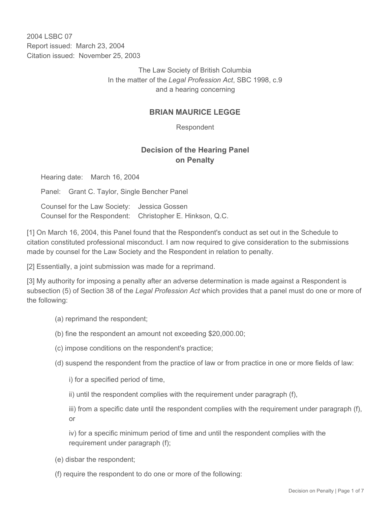2004 LSBC 07 Report issued: March 23, 2004 Citation issued: November 25, 2003

> The Law Society of British Columbia In the matter of the *Legal Profession Act*, SBC 1998, c.9 and a hearing concerning

## **BRIAN MAURICE LEGGE**

Respondent

## **Decision of the Hearing Panel on Penalty**

Hearing date: March 16, 2004

Panel: Grant C. Taylor, Single Bencher Panel

Counsel for the Law Society: Jessica Gossen Counsel for the Respondent: Christopher E. Hinkson, Q.C.

[1] On March 16, 2004, this Panel found that the Respondent's conduct as set out in the Schedule to citation constituted professional misconduct. I am now required to give consideration to the submissions made by counsel for the Law Society and the Respondent in relation to penalty.

[2] Essentially, a joint submission was made for a reprimand.

[3] My authority for imposing a penalty after an adverse determination is made against a Respondent is subsection (5) of Section 38 of the *Legal Profession Act* which provides that a panel must do one or more of the following:

- (a) reprimand the respondent;
- (b) fine the respondent an amount not exceeding \$20,000.00;
- (c) impose conditions on the respondent's practice;
- (d) suspend the respondent from the practice of law or from practice in one or more fields of law:

i) for a specified period of time,

ii) until the respondent complies with the requirement under paragraph (f),

iii) from a specific date until the respondent complies with the requirement under paragraph (f), or

iv) for a specific minimum period of time and until the respondent complies with the requirement under paragraph (f);

(e) disbar the respondent;

(f) require the respondent to do one or more of the following: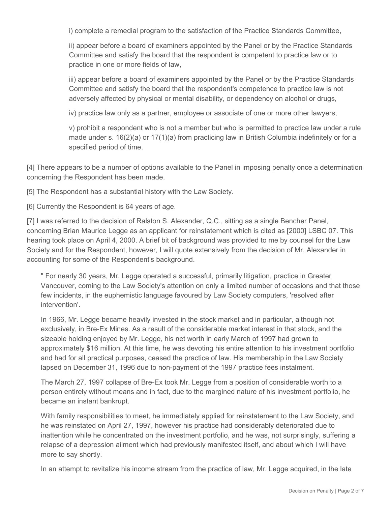i) complete a remedial program to the satisfaction of the Practice Standards Committee,

ii) appear before a board of examiners appointed by the Panel or by the Practice Standards Committee and satisfy the board that the respondent is competent to practice law or to practice in one or more fields of law,

iii) appear before a board of examiners appointed by the Panel or by the Practice Standards Committee and satisfy the board that the respondent's competence to practice law is not adversely affected by physical or mental disability, or dependency on alcohol or drugs,

iv) practice law only as a partner, employee or associate of one or more other lawyers,

v) prohibit a respondent who is not a member but who is permitted to practice law under a rule made under s. 16(2)(a) or 17(1)(a) from practicing law in British Columbia indefinitely or for a specified period of time.

[4] There appears to be a number of options available to the Panel in imposing penalty once a determination concerning the Respondent has been made.

[5] The Respondent has a substantial history with the Law Society.

[6] Currently the Respondent is 64 years of age.

[7] I was referred to the decision of Ralston S. Alexander, Q.C., sitting as a single Bencher Panel, concerning Brian Maurice Legge as an applicant for reinstatement which is cited as [2000] LSBC 07. This hearing took place on April 4, 2000. A brief bit of background was provided to me by counsel for the Law Society and for the Respondent, however, I will quote extensively from the decision of Mr. Alexander in accounting for some of the Respondent's background.

" For nearly 30 years, Mr. Legge operated a successful, primarily litigation, practice in Greater Vancouver, coming to the Law Society's attention on only a limited number of occasions and that those few incidents, in the euphemistic language favoured by Law Society computers, 'resolved after intervention'.

In 1966, Mr. Legge became heavily invested in the stock market and in particular, although not exclusively, in Bre-Ex Mines. As a result of the considerable market interest in that stock, and the sizeable holding enjoyed by Mr. Legge, his net worth in early March of 1997 had grown to approximately \$16 million. At this time, he was devoting his entire attention to his investment portfolio and had for all practical purposes, ceased the practice of law. His membership in the Law Society lapsed on December 31, 1996 due to non-payment of the 1997 practice fees instalment.

The March 27, 1997 collapse of Bre-Ex took Mr. Legge from a position of considerable worth to a person entirely without means and in fact, due to the margined nature of his investment portfolio, he became an instant bankrupt.

With family responsibilities to meet, he immediately applied for reinstatement to the Law Society, and he was reinstated on April 27, 1997, however his practice had considerably deteriorated due to inattention while he concentrated on the investment portfolio, and he was, not surprisingly, suffering a relapse of a depression ailment which had previously manifested itself, and about which I will have more to say shortly.

In an attempt to revitalize his income stream from the practice of law, Mr. Legge acquired, in the late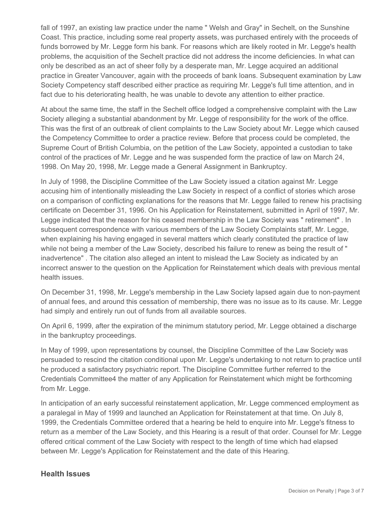fall of 1997, an existing law practice under the name " Welsh and Gray" in Sechelt, on the Sunshine Coast. This practice, including some real property assets, was purchased entirely with the proceeds of funds borrowed by Mr. Legge form his bank. For reasons which are likely rooted in Mr. Legge's health problems, the acquisition of the Sechelt practice did not address the income deficiencies. In what can only be described as an act of sheer folly by a desperate man, Mr. Legge acquired an additional practice in Greater Vancouver, again with the proceeds of bank loans. Subsequent examination by Law Society Competency staff described either practice as requiring Mr. Legge's full time attention, and in fact due to his deteriorating health, he was unable to devote any attention to either practice.

At about the same time, the staff in the Sechelt office lodged a comprehensive complaint with the Law Society alleging a substantial abandonment by Mr. Legge of responsibility for the work of the office. This was the first of an outbreak of client complaints to the Law Society about Mr. Legge which caused the Competency Committee to order a practice review. Before that process could be completed, the Supreme Court of British Columbia, on the petition of the Law Society, appointed a custodian to take control of the practices of Mr. Legge and he was suspended form the practice of law on March 24, 1998. On May 20, 1998, Mr. Legge made a General Assignment in Bankruptcy.

In July of 1998, the Discipline Committee of the Law Society issued a citation against Mr. Legge accusing him of intentionally misleading the Law Society in respect of a conflict of stories which arose on a comparison of conflicting explanations for the reasons that Mr. Legge failed to renew his practising certificate on December 31, 1996. On his Application for Reinstatement, submitted in April of 1997, Mr. Legge indicated that the reason for his ceased membership in the Law Society was " retirement" . In subsequent correspondence with various members of the Law Society Complaints staff, Mr. Legge, when explaining his having engaged in several matters which clearly constituted the practice of law while not being a member of the Law Society, described his failure to renew as being the result of " inadvertence" . The citation also alleged an intent to mislead the Law Society as indicated by an incorrect answer to the question on the Application for Reinstatement which deals with previous mental health issues.

On December 31, 1998, Mr. Legge's membership in the Law Society lapsed again due to non-payment of annual fees, and around this cessation of membership, there was no issue as to its cause. Mr. Legge had simply and entirely run out of funds from all available sources.

On April 6, 1999, after the expiration of the minimum statutory period, Mr. Legge obtained a discharge in the bankruptcy proceedings.

In May of 1999, upon representations by counsel, the Discipline Committee of the Law Society was persuaded to rescind the citation conditional upon Mr. Legge's undertaking to not return to practice until he produced a satisfactory psychiatric report. The Discipline Committee further referred to the Credentials Committee4 the matter of any Application for Reinstatement which might be forthcoming from Mr. Legge.

In anticipation of an early successful reinstatement application, Mr. Legge commenced employment as a paralegal in May of 1999 and launched an Application for Reinstatement at that time. On July 8, 1999, the Credentials Committee ordered that a hearing be held to enquire into Mr. Legge's fitness to return as a member of the Law Society, and this Hearing is a result of that order. Counsel for Mr. Legge offered critical comment of the Law Society with respect to the length of time which had elapsed between Mr. Legge's Application for Reinstatement and the date of this Hearing.

## **Health Issues**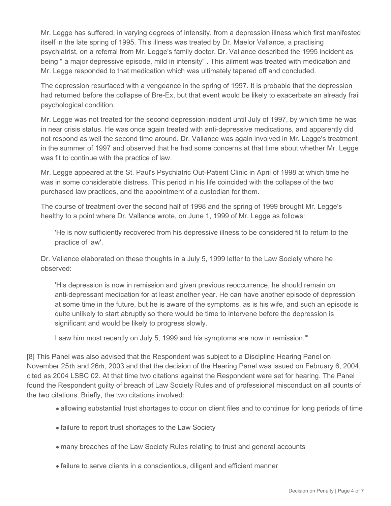Mr. Legge has suffered, in varying degrees of intensity, from a depression illness which first manifested itself in the late spring of 1995. This illness was treated by Dr. Maelor Vallance, a practising psychiatrist, on a referral from Mr. Legge's family doctor. Dr. Vallance described the 1995 incident as being " a major depressive episode, mild in intensity" . This ailment was treated with medication and Mr. Legge responded to that medication which was ultimately tapered off and concluded.

The depression resurfaced with a vengeance in the spring of 1997. It is probable that the depression had returned before the collapse of Bre-Ex, but that event would be likely to exacerbate an already frail psychological condition.

Mr. Legge was not treated for the second depression incident until July of 1997, by which time he was in near crisis status. He was once again treated with anti-depressive medications, and apparently did not respond as well the second time around. Dr. Vallance was again involved in Mr. Legge's treatment in the summer of 1997 and observed that he had some concerns at that time about whether Mr. Legge was fit to continue with the practice of law.

Mr. Legge appeared at the St. Paul's Psychiatric Out-Patient Clinic in April of 1998 at which time he was in some considerable distress. This period in his life coincided with the collapse of the two purchased law practices, and the appointment of a custodian for them.

The course of treatment over the second half of 1998 and the spring of 1999 brought Mr. Legge's healthy to a point where Dr. Vallance wrote, on June 1, 1999 of Mr. Legge as follows:

'He is now sufficiently recovered from his depressive illness to be considered fit to return to the practice of law'.

Dr. Vallance elaborated on these thoughts in a July 5, 1999 letter to the Law Society where he observed:

'His depression is now in remission and given previous reoccurrence, he should remain on anti-depressant medication for at least another year. He can have another episode of depression at some time in the future, but he is aware of the symptoms, as is his wife, and such an episode is quite unlikely to start abruptly so there would be time to intervene before the depression is significant and would be likely to progress slowly.

I saw him most recently on July 5, 1999 and his symptoms are now in remission.'"

[8] This Panel was also advised that the Respondent was subject to a Discipline Hearing Panel on November 25th and 26th, 2003 and that the decision of the Hearing Panel was issued on February 6, 2004, cited as 2004 LSBC 02. At that time two citations against the Respondent were set for hearing. The Panel found the Respondent guilty of breach of Law Society Rules and of professional misconduct on all counts of the two citations. Briefly, the two citations involved:

- allowing substantial trust shortages to occur on client files and to continue for long periods of time
- failure to report trust shortages to the Law Society
- many breaches of the Law Society Rules relating to trust and general accounts
- failure to serve clients in a conscientious, diligent and efficient manner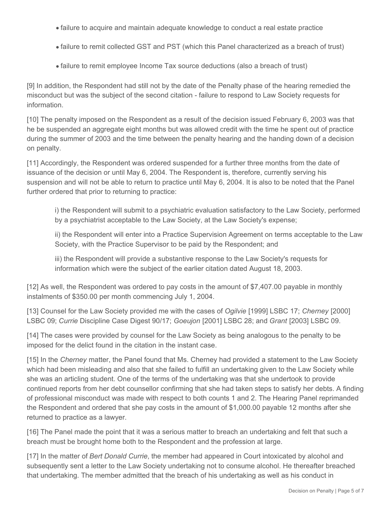- failure to acquire and maintain adequate knowledge to conduct a real estate practice
- failure to remit collected GST and PST (which this Panel characterized as a breach of trust)
- failure to remit employee Income Tax source deductions (also a breach of trust)

[9] In addition, the Respondent had still not by the date of the Penalty phase of the hearing remedied the misconduct but was the subject of the second citation - failure to respond to Law Society requests for information.

[10] The penalty imposed on the Respondent as a result of the decision issued February 6, 2003 was that he be suspended an aggregate eight months but was allowed credit with the time he spent out of practice during the summer of 2003 and the time between the penalty hearing and the handing down of a decision on penalty.

[11] Accordingly, the Respondent was ordered suspended for a further three months from the date of issuance of the decision or until May 6, 2004. The Respondent is, therefore, currently serving his suspension and will not be able to return to practice until May 6, 2004. It is also to be noted that the Panel further ordered that prior to returning to practice:

i) the Respondent will submit to a psychiatric evaluation satisfactory to the Law Society, performed by a psychiatrist acceptable to the Law Society, at the Law Society's expense;

ii) the Respondent will enter into a Practice Supervision Agreement on terms acceptable to the Law Society, with the Practice Supervisor to be paid by the Respondent; and

iii) the Respondent will provide a substantive response to the Law Society's requests for information which were the subject of the earlier citation dated August 18, 2003.

[12] As well, the Respondent was ordered to pay costs in the amount of \$7,407.00 payable in monthly instalments of \$350.00 per month commencing July 1, 2004.

[13] Counsel for the Law Society provided me with the cases of *Ogilvie* [1999] LSBC 17; *Cherney* [2000] LSBC 09; *Currie* Discipline Case Digest 90/17; *Goeujon* [2001] LSBC 28; and *Grant* [2003] LSBC 09.

[14] The cases were provided by counsel for the Law Society as being analogous to the penalty to be imposed for the delict found in the citation in the instant case.

[15] In the *Cherney* matter, the Panel found that Ms. Cherney had provided a statement to the Law Society which had been misleading and also that she failed to fulfill an undertaking given to the Law Society while she was an articling student. One of the terms of the undertaking was that she undertook to provide continued reports from her debt counsellor confirming that she had taken steps to satisfy her debts. A finding of professional misconduct was made with respect to both counts 1 and 2. The Hearing Panel reprimanded the Respondent and ordered that she pay costs in the amount of \$1,000.00 payable 12 months after she returned to practice as a lawyer.

[16] The Panel made the point that it was a serious matter to breach an undertaking and felt that such a breach must be brought home both to the Respondent and the profession at large.

[17] In the matter of *Bert Donald Currie*, the member had appeared in Court intoxicated by alcohol and subsequently sent a letter to the Law Society undertaking not to consume alcohol. He thereafter breached that undertaking. The member admitted that the breach of his undertaking as well as his conduct in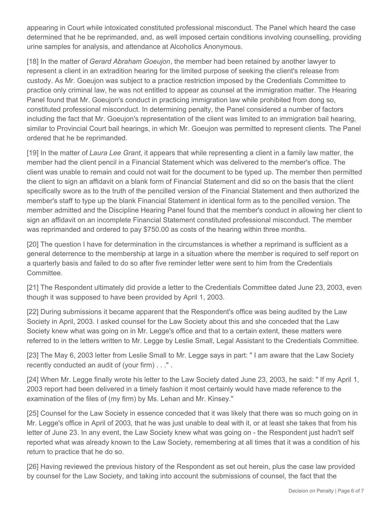appearing in Court while intoxicated constituted professional misconduct. The Panel which heard the case determined that he be reprimanded, and, as well imposed certain conditions involving counselling, providing urine samples for analysis, and attendance at Alcoholics Anonymous.

[18] In the matter of *Gerard Abraham Goeujon*, the member had been retained by another lawyer to represent a client in an extradition hearing for the limited purpose of seeking the client's release from custody. As Mr. Goeujon was subject to a practice restriction imposed by the Credentials Committee to practice only criminal law, he was not entitled to appear as counsel at the immigration matter. The Hearing Panel found that Mr. Goeujon's conduct in practicing immigration law while prohibited from dong so, constituted professional misconduct. In determining penalty, the Panel considered a number of factors including the fact that Mr. Goeujon's representation of the client was limited to an immigration bail hearing, similar to Provincial Court bail hearings, in which Mr. Goeujon was permitted to represent clients. The Panel ordered that he be reprimanded.

[19] In the matter of *Laura Lee Grant*, it appears that while representing a client in a family law matter, the member had the client pencil in a Financial Statement which was delivered to the member's office. The client was unable to remain and could not wait for the document to be typed up. The member then permitted the client to sign an affidavit on a blank form of Financial Statement and did so on the basis that the client specifically swore as to the truth of the pencilled version of the Financial Statement and then authorized the member's staff to type up the blank Financial Statement in identical form as to the pencilled version. The member admitted and the Discipline Hearing Panel found that the member's conduct in allowing her client to sign an affidavit on an incomplete Financial Statement constituted professional misconduct. The member was reprimanded and ordered to pay \$750.00 as costs of the hearing within three months.

[20] The question I have for determination in the circumstances is whether a reprimand is sufficient as a general deterrence to the membership at large in a situation where the member is required to self report on a quarterly basis and failed to do so after five reminder letter were sent to him from the Credentials Committee.

[21] The Respondent ultimately did provide a letter to the Credentials Committee dated June 23, 2003, even though it was supposed to have been provided by April 1, 2003.

[22] During submissions it became apparent that the Respondent's office was being audited by the Law Society in April, 2003. I asked counsel for the Law Society about this and she conceded that the Law Society knew what was going on in Mr. Legge's office and that to a certain extent, these matters were referred to in the letters written to Mr. Legge by Leslie Small, Legal Assistant to the Credentials Committee.

[23] The May 6, 2003 letter from Leslie Small to Mr. Legge says in part: " I am aware that the Law Society recently conducted an audit of (your firm) . . ." .

[24] When Mr. Legge finally wrote his letter to the Law Society dated June 23, 2003, he said: "If my April 1, 2003 report had been delivered in a timely fashion it most certainly would have made reference to the examination of the files of (my firm) by Ms. Lehan and Mr. Kinsey."

[25] Counsel for the Law Society in essence conceded that it was likely that there was so much going on in Mr. Legge's office in April of 2003, that he was just unable to deal with it, or at least she takes that from his letter of June 23. In any event, the Law Society knew what was going on - the Respondent just hadn't self reported what was already known to the Law Society, remembering at all times that it was a condition of his return to practice that he do so.

[26] Having reviewed the previous history of the Respondent as set out herein, plus the case law provided by counsel for the Law Society, and taking into account the submissions of counsel, the fact that the